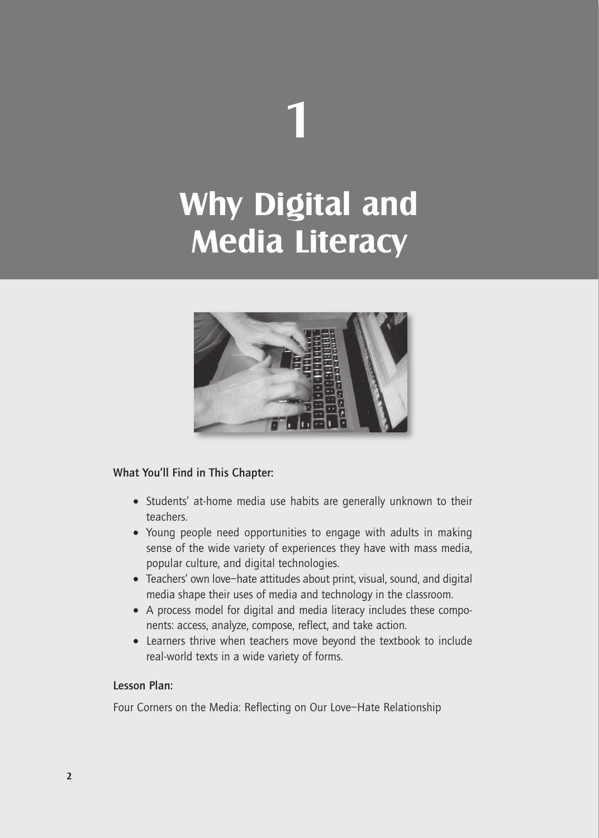# 1

# **Why Digital and Media Literacy**



# What You'll Find in This Chapter:

- Students' at-home media use habits are generally unknown to their teachers.
- Young people need opportunities to engage with adults in making sense of the wide variety of experiences they have with mass media, popular culture, and digital technologies.
- Teachers' own love–hate attitudes about print, visual, sound, and digital media shape their uses of media and technology in the classroom.
- A process model for digital and media literacy includes these components: access, analyze, compose, reflect, and take action.
- Learners thrive when teachers move beyond the textbook to include real-world texts in a wide variety of forms.

### Lesson Plan:

Four Corners on the Media: Reflecting on Our Love–Hate Relationship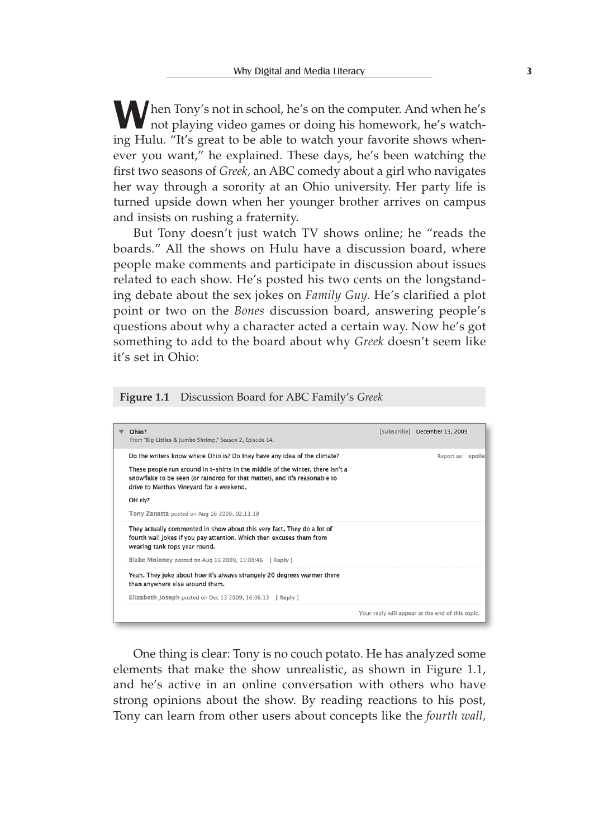**M** hen Tony's not in school, he's on the computer. And when he's not playing video games or doing his homework, he's watching Hulu. "It's great to be able to watch your favorite shows whenever you want," he explained. These days, he's been watching the first two seasons of *Greek,* an ABC comedy about a girl who navigates her way through a sorority at an Ohio university. Her party life is turned upside down when her younger brother arrives on campus and insists on rushing a fraternity.

But Tony doesn't just watch TV shows online; he "reads the boards." All the shows on Hulu have a discussion board, where people make comments and participate in discussion about issues related to each show. He's posted his two cents on the longstanding debate about the sex jokes on *Family Guy.* He's clarified a plot point or two on the *Bones* discussion board, answering people's questions about why a character acted a certain way. Now he's got something to add to the board about why *Greek* doesn't seem like it's set in Ohio:



One thing is clear: Tony is no couch potato. He has analyzed some elements that make the show unrealistic, as shown in Figure 1.1, and he's active in an online conversation with others who have strong opinions about the show. By reading reactions to his post, Tony can learn from other users about concepts like the *fourth wall,*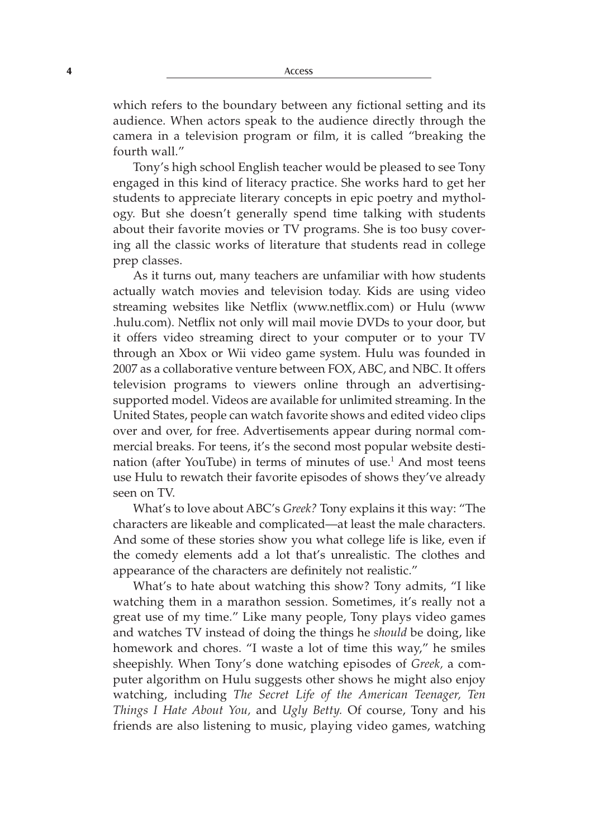which refers to the boundary between any fictional setting and its audience. When actors speak to the audience directly through the camera in a television program or film, it is called "breaking the fourth wall."

Tony's high school English teacher would be pleased to see Tony engaged in this kind of literacy practice. She works hard to get her students to appreciate literary concepts in epic poetry and mythology. But she doesn't generally spend time talking with students about their favorite movies or TV programs. She is too busy covering all the classic works of literature that students read in college prep classes.

As it turns out, many teachers are unfamiliar with how students actually watch movies and television today. Kids are using video streaming websites like Netflix (www.netflix.com) or Hulu (www .hulu.com). Netflix not only will mail movie DVDs to your door, but it offers video streaming direct to your computer or to your TV through an Xbox or Wii video game system. Hulu was founded in 2007 as a collaborative venture between FOX, ABC, and NBC. It offers television programs to viewers online through an advertisingsupported model. Videos are available for unlimited streaming. In the United States, people can watch favorite shows and edited video clips over and over, for free. Advertisements appear during normal commercial breaks. For teens, it's the second most popular website destination (after YouTube) in terms of minutes of use.<sup>1</sup> And most teens use Hulu to rewatch their favorite episodes of shows they've already seen on TV.

What's to love about ABC's *Greek?* Tony explains it this way: "The characters are likeable and complicated—at least the male characters. And some of these stories show you what college life is like, even if the comedy elements add a lot that's unrealistic. The clothes and appearance of the characters are definitely not realistic."

What's to hate about watching this show? Tony admits, "I like watching them in a marathon session. Sometimes, it's really not a great use of my time." Like many people, Tony plays video games and watches TV instead of doing the things he *should* be doing, like homework and chores. "I waste a lot of time this way," he smiles sheepishly. When Tony's done watching episodes of *Greek,* a computer algorithm on Hulu suggests other shows he might also enjoy watching, including *The Secret Life of the American Teenager, Ten Things I Hate About You,* and *Ugly Betty.* Of course, Tony and his friends are also listening to music, playing video games, watching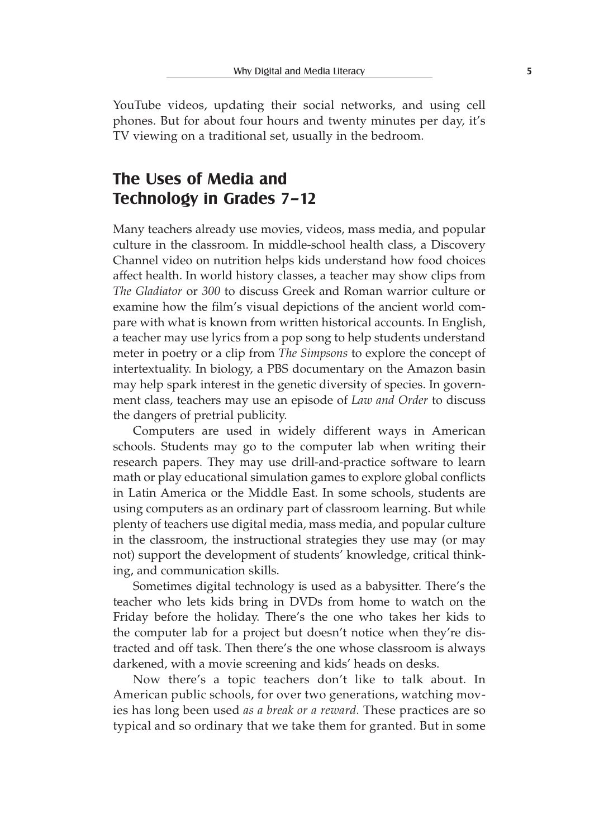YouTube videos, updating their social networks, and using cell phones. But for about four hours and twenty minutes per day, it's TV viewing on a traditional set, usually in the bedroom.

# **The Uses of Media and Technology in Grades 7–12**

Many teachers already use movies, videos, mass media, and popular culture in the classroom. In middle-school health class, a Discovery Channel video on nutrition helps kids understand how food choices affect health. In world history classes, a teacher may show clips from *The Gladiator* or *300* to discuss Greek and Roman warrior culture or examine how the film's visual depictions of the ancient world compare with what is known from written historical accounts. In English, a teacher may use lyrics from a pop song to help students understand meter in poetry or a clip from *The Simpsons* to explore the concept of intertextuality. In biology, a PBS documentary on the Amazon basin may help spark interest in the genetic diversity of species. In government class, teachers may use an episode of *Law and Order* to discuss the dangers of pretrial publicity.

Computers are used in widely different ways in American schools. Students may go to the computer lab when writing their research papers. They may use drill-and-practice software to learn math or play educational simulation games to explore global conflicts in Latin America or the Middle East. In some schools, students are using computers as an ordinary part of classroom learning. But while plenty of teachers use digital media, mass media, and popular culture in the classroom, the instructional strategies they use may (or may not) support the development of students' knowledge, critical thinking, and communication skills.

Sometimes digital technology is used as a babysitter. There's the teacher who lets kids bring in DVDs from home to watch on the Friday before the holiday. There's the one who takes her kids to the computer lab for a project but doesn't notice when they're distracted and off task. Then there's the one whose classroom is always darkened, with a movie screening and kids' heads on desks.

Now there's a topic teachers don't like to talk about. In American public schools, for over two generations, watching movies has long been used *as a break or a reward.* These practices are so typical and so ordinary that we take them for granted. But in some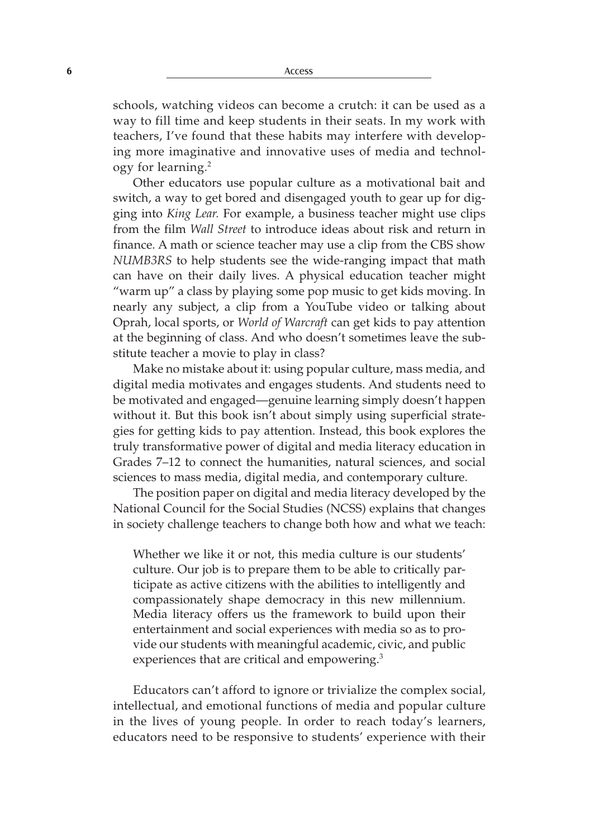schools, watching videos can become a crutch: it can be used as a way to fill time and keep students in their seats. In my work with teachers, I've found that these habits may interfere with developing more imaginative and innovative uses of media and technology for learning.<sup>2</sup>

Other educators use popular culture as a motivational bait and switch, a way to get bored and disengaged youth to gear up for digging into *King Lear.* For example, a business teacher might use clips from the film *Wall Street* to introduce ideas about risk and return in finance. A math or science teacher may use a clip from the CBS show *NUMB3RS* to help students see the wide-ranging impact that math can have on their daily lives. A physical education teacher might "warm up" a class by playing some pop music to get kids moving. In nearly any subject, a clip from a YouTube video or talking about Oprah, local sports, or *World of Warcraft* can get kids to pay attention at the beginning of class. And who doesn't sometimes leave the substitute teacher a movie to play in class?

Make no mistake about it: using popular culture, mass media, and digital media motivates and engages students. And students need to be motivated and engaged—genuine learning simply doesn't happen without it. But this book isn't about simply using superficial strategies for getting kids to pay attention. Instead, this book explores the truly transformative power of digital and media literacy education in Grades 7–12 to connect the humanities, natural sciences, and social sciences to mass media, digital media, and contemporary culture.

The position paper on digital and media literacy developed by the National Council for the Social Studies (NCSS) explains that changes in society challenge teachers to change both how and what we teach:

Whether we like it or not, this media culture is our students' culture. Our job is to prepare them to be able to critically participate as active citizens with the abilities to intelligently and compassionately shape democracy in this new millennium. Media literacy offers us the framework to build upon their entertainment and social experiences with media so as to provide our students with meaningful academic, civic, and public experiences that are critical and empowering.<sup>3</sup>

Educators can't afford to ignore or trivialize the complex social, intellectual, and emotional functions of media and popular culture in the lives of young people. In order to reach today's learners, educators need to be responsive to students' experience with their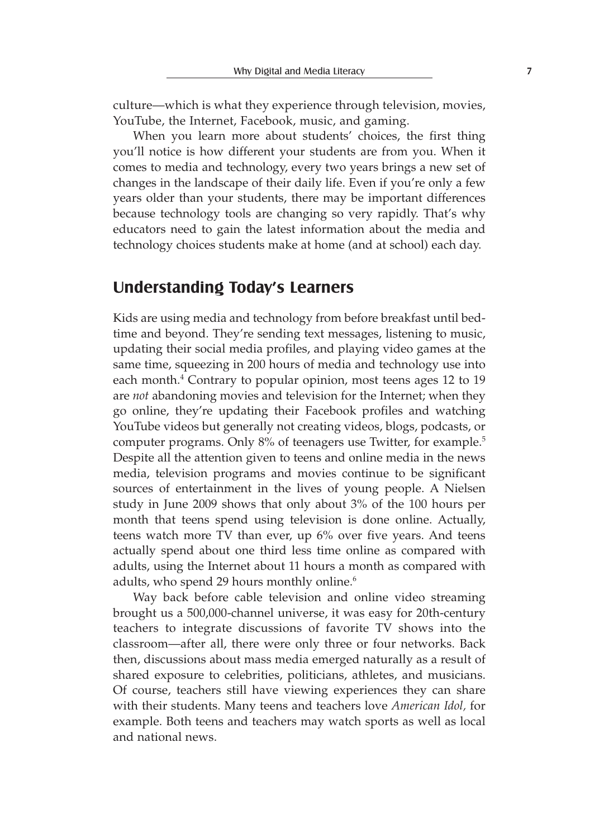culture—which is what they experience through television, movies, YouTube, the Internet, Facebook, music, and gaming.

When you learn more about students' choices, the first thing you'll notice is how different your students are from you. When it comes to media and technology, every two years brings a new set of changes in the landscape of their daily life. Even if you're only a few years older than your students, there may be important differences because technology tools are changing so very rapidly. That's why educators need to gain the latest information about the media and technology choices students make at home (and at school) each day.

# **Understanding Today's Learners**

Kids are using media and technology from before breakfast until bedtime and beyond. They're sending text messages, listening to music, updating their social media profiles, and playing video games at the same time, squeezing in 200 hours of media and technology use into each month.<sup>4</sup> Contrary to popular opinion, most teens ages 12 to 19 are *not* abandoning movies and television for the Internet; when they go online, they're updating their Facebook profiles and watching YouTube videos but generally not creating videos, blogs, podcasts, or computer programs. Only 8% of teenagers use Twitter, for example.<sup>5</sup> Despite all the attention given to teens and online media in the news media, television programs and movies continue to be significant sources of entertainment in the lives of young people. A Nielsen study in June 2009 shows that only about 3% of the 100 hours per month that teens spend using television is done online. Actually, teens watch more TV than ever, up 6% over five years. And teens actually spend about one third less time online as compared with adults, using the Internet about 11 hours a month as compared with adults, who spend 29 hours monthly online.<sup>6</sup>

Way back before cable television and online video streaming brought us a 500,000-channel universe, it was easy for 20th-century teachers to integrate discussions of favorite TV shows into the classroom—after all, there were only three or four networks. Back then, discussions about mass media emerged naturally as a result of shared exposure to celebrities, politicians, athletes, and musicians. Of course, teachers still have viewing experiences they can share with their students. Many teens and teachers love *American Idol,* for example. Both teens and teachers may watch sports as well as local and national news.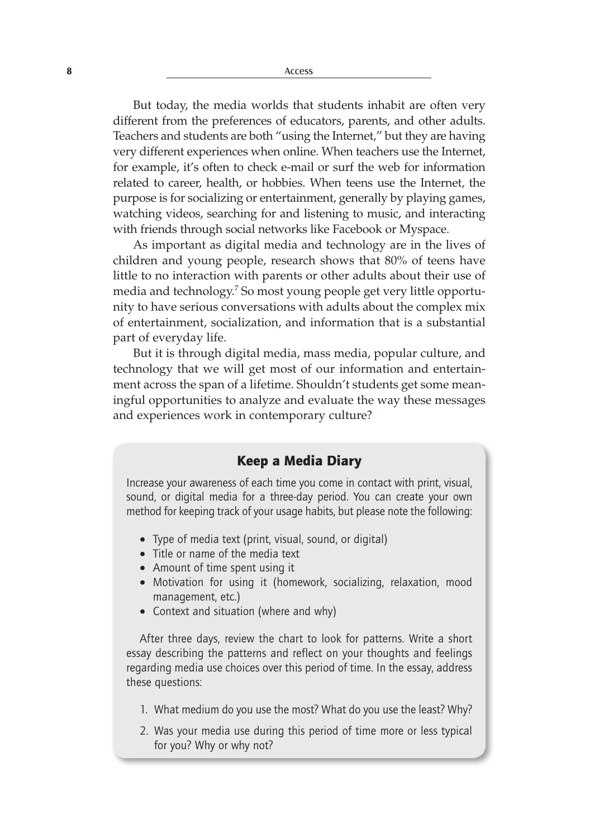But today, the media worlds that students inhabit are often very different from the preferences of educators, parents, and other adults. Teachers and students are both "using the Internet," but they are having very different experiences when online. When teachers use the Internet, for example, it's often to check e-mail or surf the web for information related to career, health, or hobbies. When teens use the Internet, the purpose is for socializing or entertainment, generally by playing games, watching videos, searching for and listening to music, and interacting with friends through social networks like Facebook or Myspace.

As important as digital media and technology are in the lives of children and young people, research shows that 80% of teens have little to no interaction with parents or other adults about their use of media and technology.7 So most young people get very little opportunity to have serious conversations with adults about the complex mix of entertainment, socialization, and information that is a substantial part of everyday life.

But it is through digital media, mass media, popular culture, and technology that we will get most of our information and entertainment across the span of a lifetime. Shouldn't students get some meaningful opportunities to analyze and evaluate the way these messages and experiences work in contemporary culture?

#### Keep a Media Diary

Increase your awareness of each time you come in contact with print, visual, sound, or digital media for a three-day period. You can create your own method for keeping track of your usage habits, but please note the following:

- Type of media text (print, visual, sound, or digital)
- Title or name of the media text
- Amount of time spent using it
- Motivation for using it (homework, socializing, relaxation, mood management, etc.)
- Context and situation (where and why)

After three days, review the chart to look for patterns. Write a short essay describing the patterns and reflect on your thoughts and feelings regarding media use choices over this period of time. In the essay, address these questions:

- 1. What medium do you use the most? What do you use the least? Why?
- 2. Was your media use during this period of time more or less typical for you? Why or why not?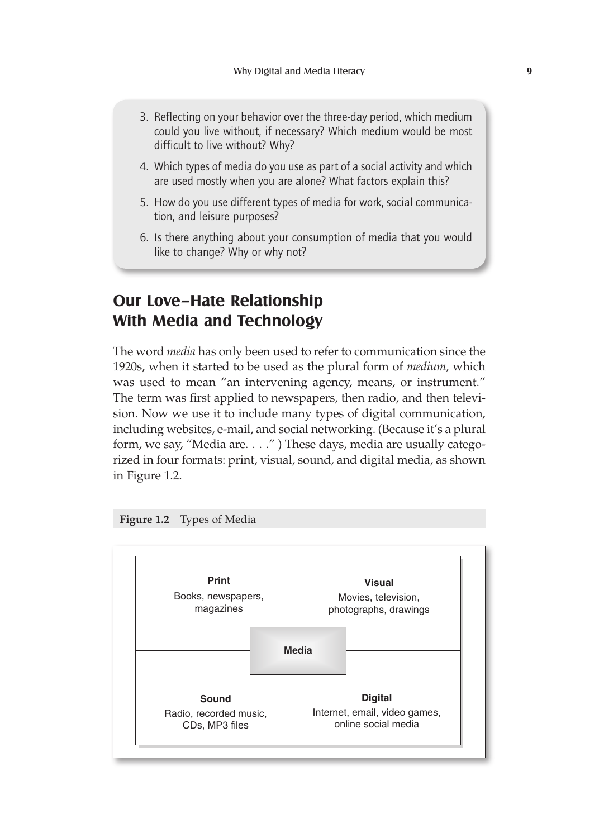- 3. Reflecting on your behavior over the three-day period, which medium could you live without, if necessary? Which medium would be most difficult to live without? Why?
- 4. Which types of media do you use as part of a social activity and which are used mostly when you are alone? What factors explain this?
- 5. How do you use different types of media for work, social communication, and leisure purposes?
- 6. Is there anything about your consumption of media that you would like to change? Why or why not?

# **Our Love–Hate Relationship With Media and Technology**

The word *media* has only been used to refer to communication since the 1920s, when it started to be used as the plural form of *medium,* which was used to mean "an intervening agency, means, or instrument." The term was first applied to newspapers, then radio, and then television. Now we use it to include many types of digital communication, including websites, e-mail, and social networking. (Because it's a plural form, we say, "Media are. . . ." ) These days, media are usually categorized in four formats: print, visual, sound, and digital media, as shown in Figure 1.2.



**Figure 1.2** Types of Media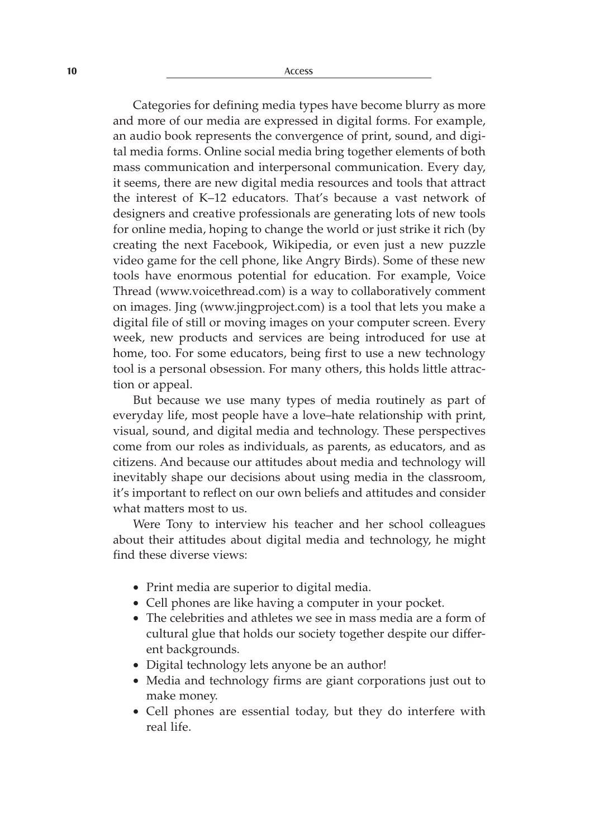Categories for defining media types have become blurry as more and more of our media are expressed in digital forms. For example, an audio book represents the convergence of print, sound, and digital media forms. Online social media bring together elements of both mass communication and interpersonal communication. Every day, it seems, there are new digital media resources and tools that attract the interest of K–12 educators. That's because a vast network of designers and creative professionals are generating lots of new tools for online media, hoping to change the world or just strike it rich (by creating the next Facebook, Wikipedia, or even just a new puzzle video game for the cell phone, like Angry Birds). Some of these new tools have enormous potential for education. For example, Voice Thread (www.voicethread.com) is a way to collaboratively comment on images. Jing (www.jingproject.com) is a tool that lets you make a digital file of still or moving images on your computer screen. Every week, new products and services are being introduced for use at home, too. For some educators, being first to use a new technology tool is a personal obsession. For many others, this holds little attraction or appeal.

But because we use many types of media routinely as part of everyday life, most people have a love–hate relationship with print, visual, sound, and digital media and technology. These perspectives come from our roles as individuals, as parents, as educators, and as citizens. And because our attitudes about media and technology will inevitably shape our decisions about using media in the classroom, it's important to reflect on our own beliefs and attitudes and consider what matters most to us.

Were Tony to interview his teacher and her school colleagues about their attitudes about digital media and technology, he might find these diverse views:

- Print media are superior to digital media.
- Cell phones are like having a computer in your pocket.
- The celebrities and athletes we see in mass media are a form of cultural glue that holds our society together despite our different backgrounds.
- Digital technology lets anyone be an author!
- Media and technology firms are giant corporations just out to make money.
- Cell phones are essential today, but they do interfere with real life.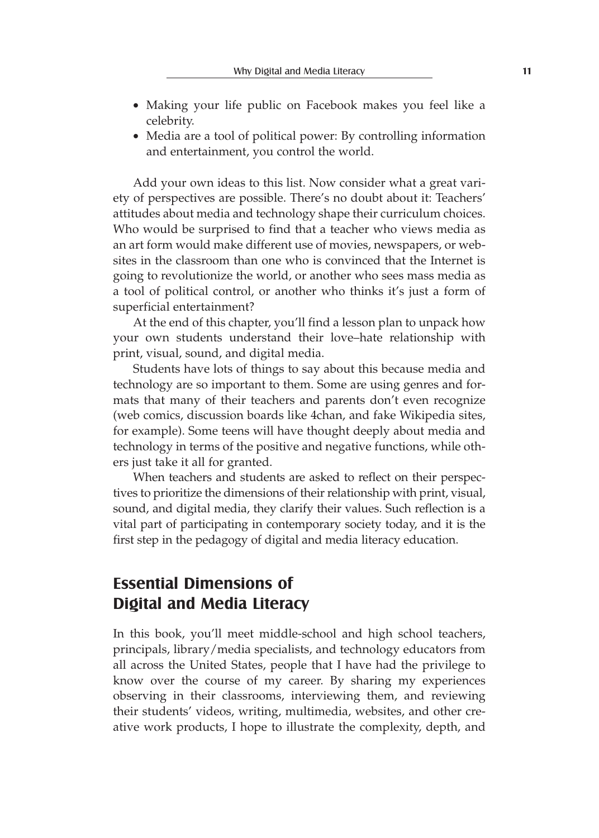- Making your life public on Facebook makes you feel like a celebrity.
- Media are a tool of political power: By controlling information and entertainment, you control the world.

Add your own ideas to this list. Now consider what a great variety of perspectives are possible. There's no doubt about it: Teachers' attitudes about media and technology shape their curriculum choices. Who would be surprised to find that a teacher who views media as an art form would make different use of movies, newspapers, or websites in the classroom than one who is convinced that the Internet is going to revolutionize the world, or another who sees mass media as a tool of political control, or another who thinks it's just a form of superficial entertainment?

At the end of this chapter, you'll find a lesson plan to unpack how your own students understand their love–hate relationship with print, visual, sound, and digital media.

Students have lots of things to say about this because media and technology are so important to them. Some are using genres and formats that many of their teachers and parents don't even recognize (web comics, discussion boards like 4chan, and fake Wikipedia sites, for example). Some teens will have thought deeply about media and technology in terms of the positive and negative functions, while others just take it all for granted.

When teachers and students are asked to reflect on their perspectives to prioritize the dimensions of their relationship with print, visual, sound, and digital media, they clarify their values. Such reflection is a vital part of participating in contemporary society today, and it is the first step in the pedagogy of digital and media literacy education.

# **Essential Dimensions of Digital and Media Literacy**

In this book, you'll meet middle-school and high school teachers, principals, library/media specialists, and technology educators from all across the United States, people that I have had the privilege to know over the course of my career. By sharing my experiences observing in their classrooms, interviewing them, and reviewing their students' videos, writing, multimedia, websites, and other creative work products, I hope to illustrate the complexity, depth, and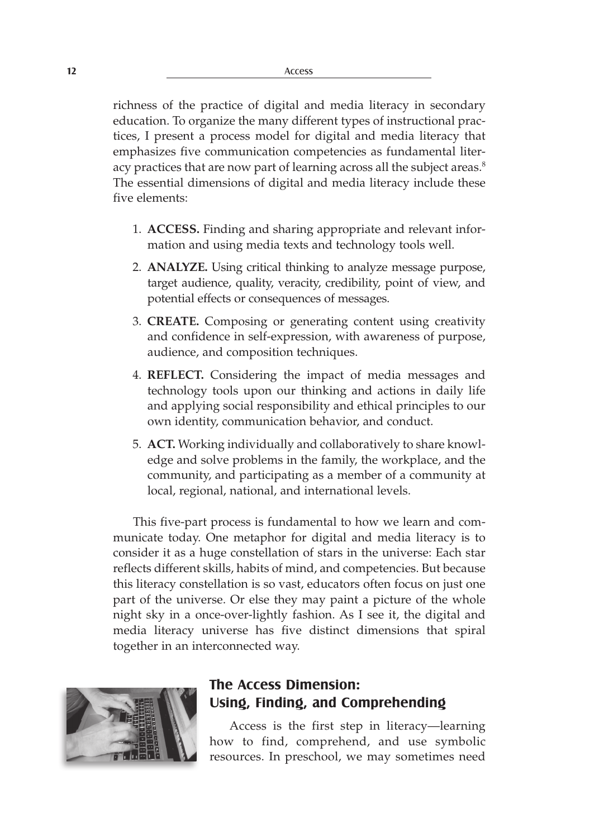richness of the practice of digital and media literacy in secondary education. To organize the many different types of instructional practices, I present a process model for digital and media literacy that emphasizes five communication competencies as fundamental literacy practices that are now part of learning across all the subject areas.<sup>8</sup> The essential dimensions of digital and media literacy include these five elements:

- 1. **ACCESS.** Finding and sharing appropriate and relevant information and using media texts and technology tools well.
- 2. **ANALYZE.** Using critical thinking to analyze message purpose, target audience, quality, veracity, credibility, point of view, and potential effects or consequences of messages.
- 3. **CREATE.** Composing or generating content using creativity and confidence in self-expression, with awareness of purpose, audience, and composition techniques.
- 4. **REFLECT.** Considering the impact of media messages and technology tools upon our thinking and actions in daily life and applying social responsibility and ethical principles to our own identity, communication behavior, and conduct.
- 5. **ACT.** Working individually and collaboratively to share knowledge and solve problems in the family, the workplace, and the community, and participating as a member of a community at local, regional, national, and international levels.

This five-part process is fundamental to how we learn and communicate today. One metaphor for digital and media literacy is to consider it as a huge constellation of stars in the universe: Each star reflects different skills, habits of mind, and competencies. But because this literacy constellation is so vast, educators often focus on just one part of the universe. Or else they may paint a picture of the whole night sky in a once-over-lightly fashion. As I see it, the digital and media literacy universe has five distinct dimensions that spiral together in an interconnected way.



# **The Access Dimension: Using, Finding, and Comprehending**

Access is the first step in literacy—learning how to find, comprehend, and use symbolic resources. In preschool, we may sometimes need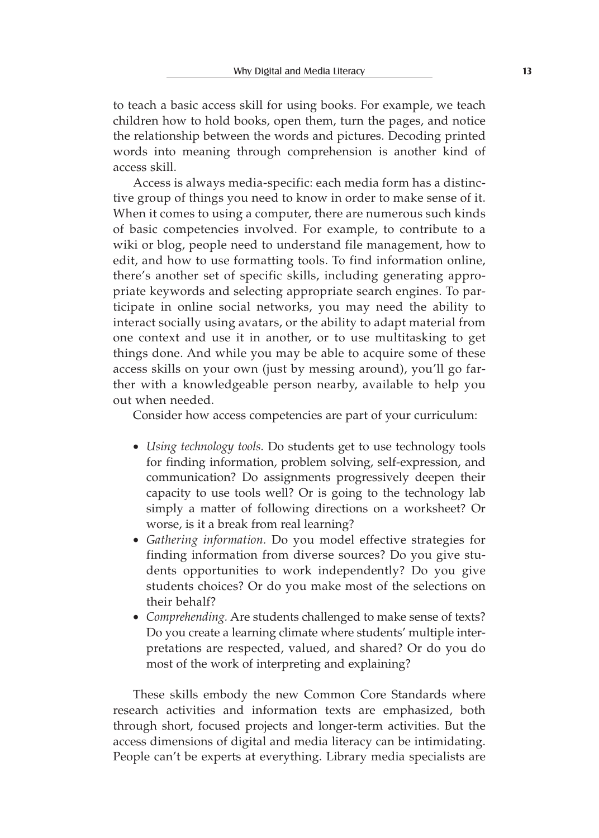to teach a basic access skill for using books. For example, we teach children how to hold books, open them, turn the pages, and notice the relationship between the words and pictures. Decoding printed words into meaning through comprehension is another kind of access skill.

Access is always media-specific: each media form has a distinctive group of things you need to know in order to make sense of it. When it comes to using a computer, there are numerous such kinds of basic competencies involved. For example, to contribute to a wiki or blog, people need to understand file management, how to edit, and how to use formatting tools. To find information online, there's another set of specific skills, including generating appropriate keywords and selecting appropriate search engines. To participate in online social networks, you may need the ability to interact socially using avatars, or the ability to adapt material from one context and use it in another, or to use multitasking to get things done. And while you may be able to acquire some of these access skills on your own (just by messing around), you'll go farther with a knowledgeable person nearby, available to help you out when needed.

Consider how access competencies are part of your curriculum:

- *Using technology tools.* Do students get to use technology tools for finding information, problem solving, self-expression, and communication? Do assignments progressively deepen their capacity to use tools well? Or is going to the technology lab simply a matter of following directions on a worksheet? Or worse, is it a break from real learning?
- *Gathering information.* Do you model effective strategies for finding information from diverse sources? Do you give students opportunities to work independently? Do you give students choices? Or do you make most of the selections on their behalf?
- *Comprehending.* Are students challenged to make sense of texts? Do you create a learning climate where students' multiple interpretations are respected, valued, and shared? Or do you do most of the work of interpreting and explaining?

These skills embody the new Common Core Standards where research activities and information texts are emphasized, both through short, focused projects and longer-term activities. But the access dimensions of digital and media literacy can be intimidating. People can't be experts at everything. Library media specialists are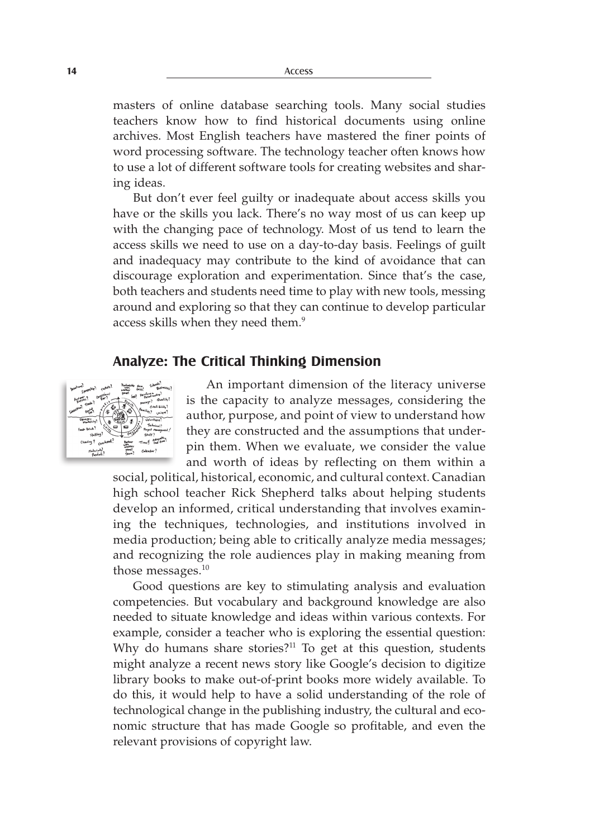masters of online database searching tools. Many social studies teachers know how to find historical documents using online archives. Most English teachers have mastered the finer points of word processing software. The technology teacher often knows how to use a lot of different software tools for creating websites and sharing ideas.

But don't ever feel guilty or inadequate about access skills you have or the skills you lack. There's no way most of us can keep up with the changing pace of technology. Most of us tend to learn the access skills we need to use on a day-to-day basis. Feelings of guilt and inadequacy may contribute to the kind of avoidance that can discourage exploration and experimentation. Since that's the case, both teachers and students need time to play with new tools, messing around and exploring so that they can continue to develop particular access skills when they need them.<sup>9</sup>

#### **Analyze: The Critical Thinking Dimension**



An important dimension of the literacy universe is the capacity to analyze messages, considering the author, purpose, and point of view to understand how they are constructed and the assumptions that underpin them. When we evaluate, we consider the value and worth of ideas by reflecting on them within a

social, political, historical, economic, and cultural context. Canadian high school teacher Rick Shepherd talks about helping students develop an informed, critical understanding that involves examining the techniques, technologies, and institutions involved in media production; being able to critically analyze media messages; and recognizing the role audiences play in making meaning from those messages.<sup>10</sup>

Good questions are key to stimulating analysis and evaluation competencies. But vocabulary and background knowledge are also needed to situate knowledge and ideas within various contexts. For example, consider a teacher who is exploring the essential question: Why do humans share stories? $11$  To get at this question, students might analyze a recent news story like Google's decision to digitize library books to make out-of-print books more widely available. To do this, it would help to have a solid understanding of the role of technological change in the publishing industry, the cultural and economic structure that has made Google so profitable, and even the relevant provisions of copyright law.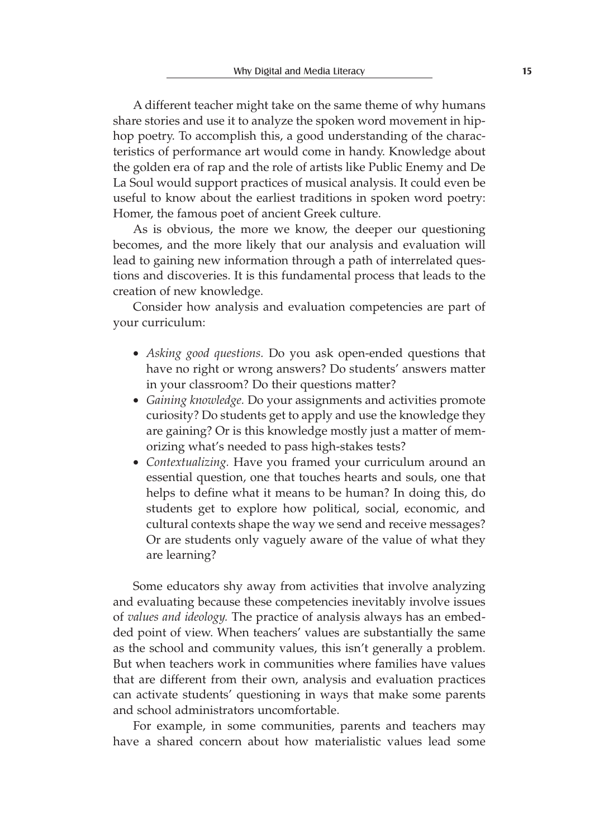A different teacher might take on the same theme of why humans share stories and use it to analyze the spoken word movement in hiphop poetry. To accomplish this, a good understanding of the characteristics of performance art would come in handy. Knowledge about the golden era of rap and the role of artists like Public Enemy and De La Soul would support practices of musical analysis. It could even be useful to know about the earliest traditions in spoken word poetry: Homer, the famous poet of ancient Greek culture.

As is obvious, the more we know, the deeper our questioning becomes, and the more likely that our analysis and evaluation will lead to gaining new information through a path of interrelated questions and discoveries. It is this fundamental process that leads to the creation of new knowledge.

Consider how analysis and evaluation competencies are part of your curriculum:

- *Asking good questions.* Do you ask open-ended questions that have no right or wrong answers? Do students' answers matter in your classroom? Do their questions matter?
- *Gaining knowledge.* Do your assignments and activities promote curiosity? Do students get to apply and use the knowledge they are gaining? Or is this knowledge mostly just a matter of memorizing what's needed to pass high-stakes tests?
- *Contextualizing.* Have you framed your curriculum around an essential question, one that touches hearts and souls, one that helps to define what it means to be human? In doing this, do students get to explore how political, social, economic, and cultural contexts shape the way we send and receive messages? Or are students only vaguely aware of the value of what they are learning?

Some educators shy away from activities that involve analyzing and evaluating because these competencies inevitably involve issues of *values and ideology.* The practice of analysis always has an embedded point of view. When teachers' values are substantially the same as the school and community values, this isn't generally a problem. But when teachers work in communities where families have values that are different from their own, analysis and evaluation practices can activate students' questioning in ways that make some parents and school administrators uncomfortable.

For example, in some communities, parents and teachers may have a shared concern about how materialistic values lead some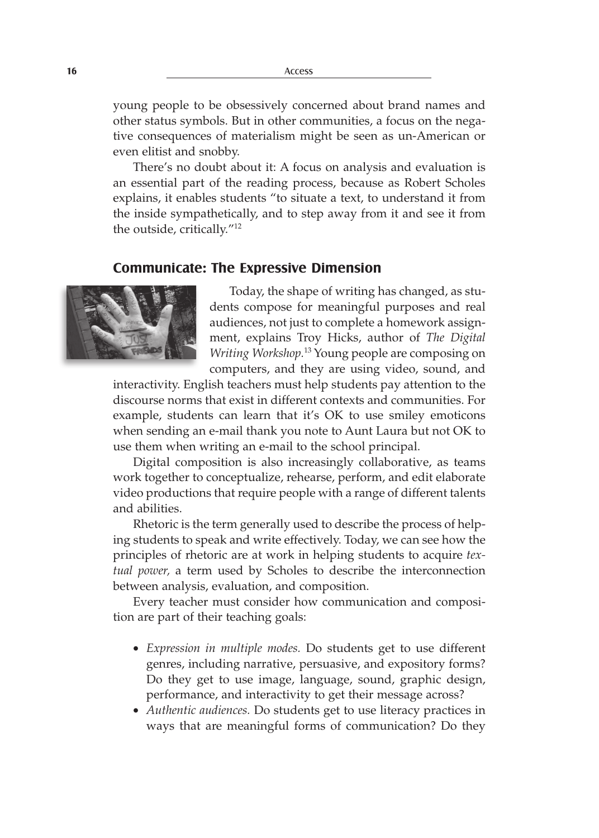young people to be obsessively concerned about brand names and other status symbols. But in other communities, a focus on the negative consequences of materialism might be seen as un-American or even elitist and snobby.

There's no doubt about it: A focus on analysis and evaluation is an essential part of the reading process, because as Robert Scholes explains, it enables students "to situate a text, to understand it from the inside sympathetically, and to step away from it and see it from the outside, critically."12

### **Communicate: The Expressive Dimension**



Today, the shape of writing has changed, as students compose for meaningful purposes and real audiences, not just to complete a homework assignment, explains Troy Hicks, author of *The Digital Writing Workshop.*13 Young people are composing on computers, and they are using video, sound, and

interactivity. English teachers must help students pay attention to the discourse norms that exist in different contexts and communities. For example, students can learn that it's OK to use smiley emoticons when sending an e-mail thank you note to Aunt Laura but not OK to use them when writing an e-mail to the school principal.

Digital composition is also increasingly collaborative, as teams work together to conceptualize, rehearse, perform, and edit elaborate video productions that require people with a range of different talents and abilities.

Rhetoric is the term generally used to describe the process of helping students to speak and write effectively. Today, we can see how the principles of rhetoric are at work in helping students to acquire *textual power,* a term used by Scholes to describe the interconnection between analysis, evaluation, and composition.

Every teacher must consider how communication and composition are part of their teaching goals:

- *Expression in multiple modes.* Do students get to use different genres, including narrative, persuasive, and expository forms? Do they get to use image, language, sound, graphic design, performance, and interactivity to get their message across?
- *Authentic audiences.* Do students get to use literacy practices in ways that are meaningful forms of communication? Do they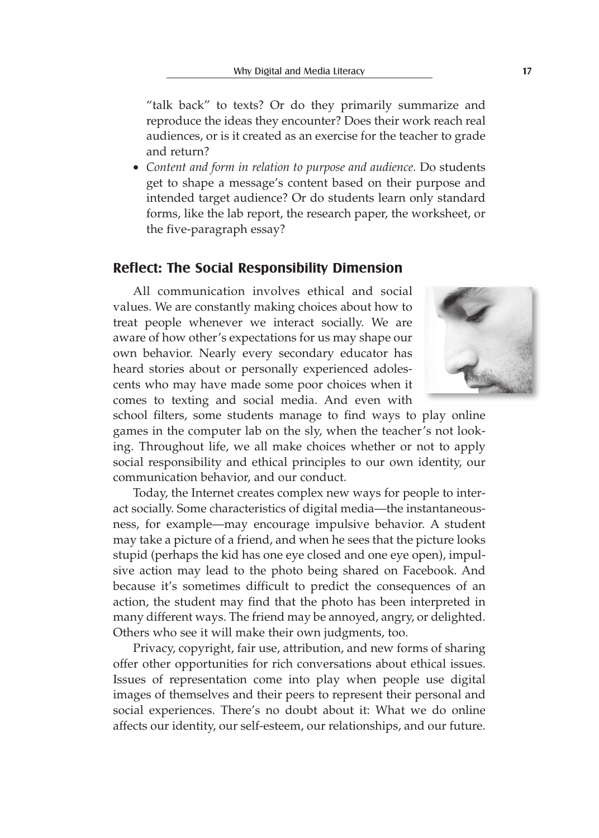"talk back" to texts? Or do they primarily summarize and reproduce the ideas they encounter? Does their work reach real audiences, or is it created as an exercise for the teacher to grade and return?

• *Content and form in relation to purpose and audience.* Do students get to shape a message's content based on their purpose and intended target audience? Or do students learn only standard forms, like the lab report, the research paper, the worksheet, or the five-paragraph essay?

#### **Reflect: The Social Responsibility Dimension**

All communication involves ethical and social values. We are constantly making choices about how to treat people whenever we interact socially. We are aware of how other's expectations for us may shape our own behavior. Nearly every secondary educator has heard stories about or personally experienced adolescents who may have made some poor choices when it comes to texting and social media. And even with



school filters, some students manage to find ways to play online games in the computer lab on the sly, when the teacher's not looking. Throughout life, we all make choices whether or not to apply social responsibility and ethical principles to our own identity, our communication behavior, and our conduct.

Today, the Internet creates complex new ways for people to interact socially. Some characteristics of digital media—the instantaneousness, for example—may encourage impulsive behavior. A student may take a picture of a friend, and when he sees that the picture looks stupid (perhaps the kid has one eye closed and one eye open), impulsive action may lead to the photo being shared on Facebook. And because it's sometimes difficult to predict the consequences of an action, the student may find that the photo has been interpreted in many different ways. The friend may be annoyed, angry, or delighted. Others who see it will make their own judgments, too.

Privacy, copyright, fair use, attribution, and new forms of sharing offer other opportunities for rich conversations about ethical issues. Issues of representation come into play when people use digital images of themselves and their peers to represent their personal and social experiences. There's no doubt about it: What we do online affects our identity, our self-esteem, our relationships, and our future.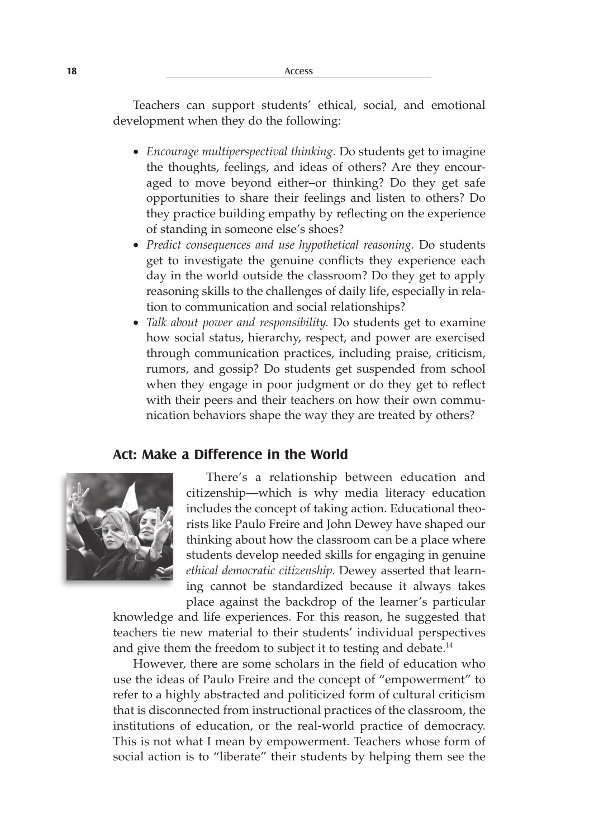Teachers can support students' ethical, social, and emotional development when they do the following:

- *Encourage multiperspectival thinking.* Do students get to imagine the thoughts, feelings, and ideas of others? Are they encouraged to move beyond either–or thinking? Do they get safe opportunities to share their feelings and listen to others? Do they practice building empathy by reflecting on the experience of standing in someone else's shoes?
- *Predict consequences and use hypothetical reasoning.* Do students get to investigate the genuine conflicts they experience each day in the world outside the classroom? Do they get to apply reasoning skills to the challenges of daily life, especially in relation to communication and social relationships?
- *Talk about power and responsibility.* Do students get to examine how social status, hierarchy, respect, and power are exercised through communication practices, including praise, criticism, rumors, and gossip? Do students get suspended from school when they engage in poor judgment or do they get to reflect with their peers and their teachers on how their own communication behaviors shape the way they are treated by others?

## **Act: Make a Difference in the World**



There's a relationship between education and citizenship—which is why media literacy education includes the concept of taking action. Educational theorists like Paulo Freire and John Dewey have shaped our thinking about how the classroom can be a place where students develop needed skills for engaging in genuine *ethical democratic citizenship.* Dewey asserted that learning cannot be standardized because it always takes place against the backdrop of the learner's particular

knowledge and life experiences. For this reason, he suggested that teachers tie new material to their students' individual perspectives and give them the freedom to subject it to testing and debate.<sup>14</sup>

However, there are some scholars in the field of education who use the ideas of Paulo Freire and the concept of "empowerment" to refer to a highly abstracted and politicized form of cultural criticism that is disconnected from instructional practices of the classroom, the institutions of education, or the real-world practice of democracy. This is not what I mean by empowerment. Teachers whose form of social action is to "liberate" their students by helping them see the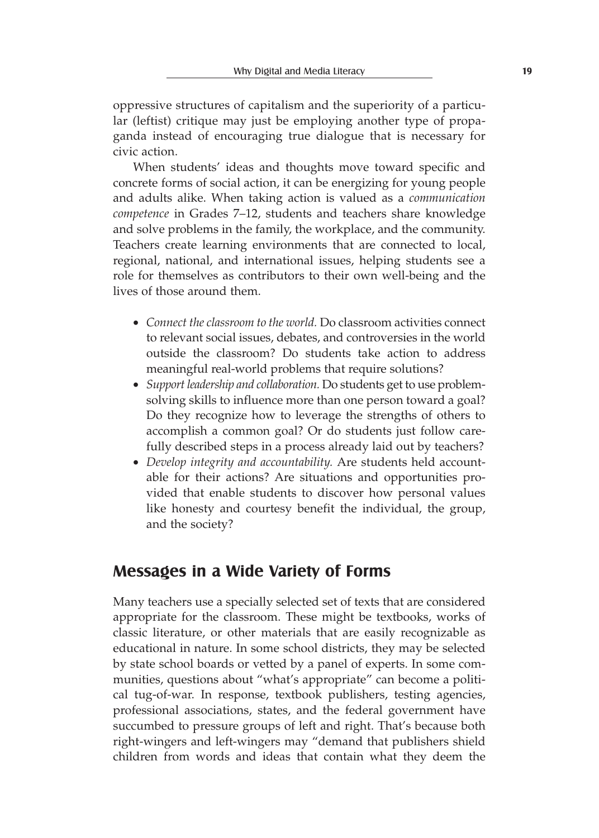oppressive structures of capitalism and the superiority of a particular (leftist) critique may just be employing another type of propaganda instead of encouraging true dialogue that is necessary for civic action.

When students' ideas and thoughts move toward specific and concrete forms of social action, it can be energizing for young people and adults alike. When taking action is valued as a *communication competence* in Grades 7–12, students and teachers share knowledge and solve problems in the family, the workplace, and the community. Teachers create learning environments that are connected to local, regional, national, and international issues, helping students see a role for themselves as contributors to their own well-being and the lives of those around them.

- *Connect the classroom to the world.* Do classroom activities connect to relevant social issues, debates, and controversies in the world outside the classroom? Do students take action to address meaningful real-world problems that require solutions?
- *Support leadership and collaboration.* Do students get to use problemsolving skills to influence more than one person toward a goal? Do they recognize how to leverage the strengths of others to accomplish a common goal? Or do students just follow carefully described steps in a process already laid out by teachers?
- *Develop integrity and accountability.* Are students held accountable for their actions? Are situations and opportunities provided that enable students to discover how personal values like honesty and courtesy benefit the individual, the group, and the society?

# **Messages in a Wide Variety of Forms**

Many teachers use a specially selected set of texts that are considered appropriate for the classroom. These might be textbooks, works of classic literature, or other materials that are easily recognizable as educational in nature. In some school districts, they may be selected by state school boards or vetted by a panel of experts. In some communities, questions about "what's appropriate" can become a political tug-of-war. In response, textbook publishers, testing agencies, professional associations, states, and the federal government have succumbed to pressure groups of left and right. That's because both right-wingers and left-wingers may "demand that publishers shield children from words and ideas that contain what they deem the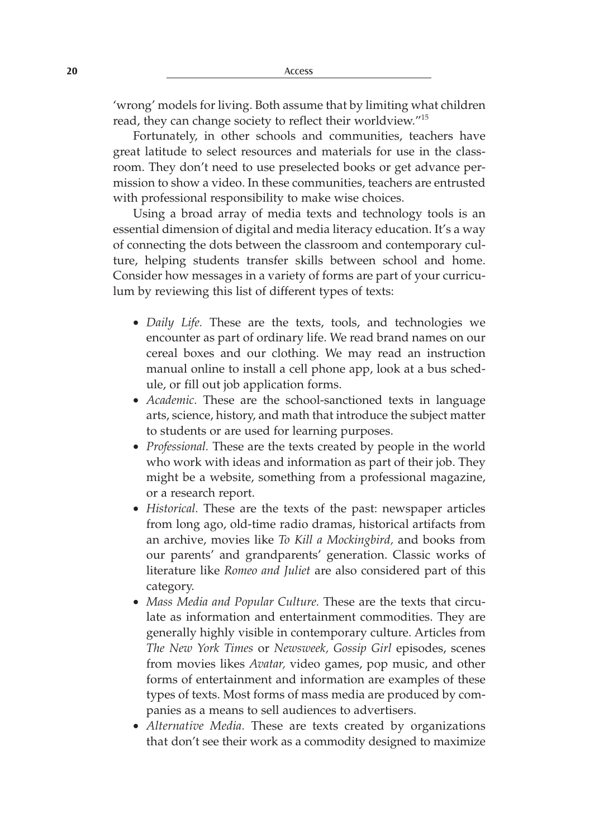'wrong' models for living. Both assume that by limiting what children read, they can change society to reflect their worldview."15

Fortunately, in other schools and communities, teachers have great latitude to select resources and materials for use in the classroom. They don't need to use preselected books or get advance permission to show a video. In these communities, teachers are entrusted with professional responsibility to make wise choices.

Using a broad array of media texts and technology tools is an essential dimension of digital and media literacy education. It's a way of connecting the dots between the classroom and contemporary culture, helping students transfer skills between school and home. Consider how messages in a variety of forms are part of your curriculum by reviewing this list of different types of texts:

- *Daily Life.* These are the texts, tools, and technologies we encounter as part of ordinary life. We read brand names on our cereal boxes and our clothing. We may read an instruction manual online to install a cell phone app, look at a bus schedule, or fill out job application forms.
- *Academic.* These are the school-sanctioned texts in language arts, science, history, and math that introduce the subject matter to students or are used for learning purposes.
- *Professional.* These are the texts created by people in the world who work with ideas and information as part of their job. They might be a website, something from a professional magazine, or a research report.
- *Historical.* These are the texts of the past: newspaper articles from long ago, old-time radio dramas, historical artifacts from an archive, movies like *To Kill a Mockingbird,* and books from our parents' and grandparents' generation. Classic works of literature like *Romeo and Juliet* are also considered part of this category.
- *Mass Media and Popular Culture.* These are the texts that circulate as information and entertainment commodities. They are generally highly visible in contemporary culture. Articles from *The New York Times* or *Newsweek, Gossip Girl* episodes, scenes from movies likes *Avatar,* video games, pop music, and other forms of entertainment and information are examples of these types of texts. Most forms of mass media are produced by companies as a means to sell audiences to advertisers.
- *Alternative Media.* These are texts created by organizations that don't see their work as a commodity designed to maximize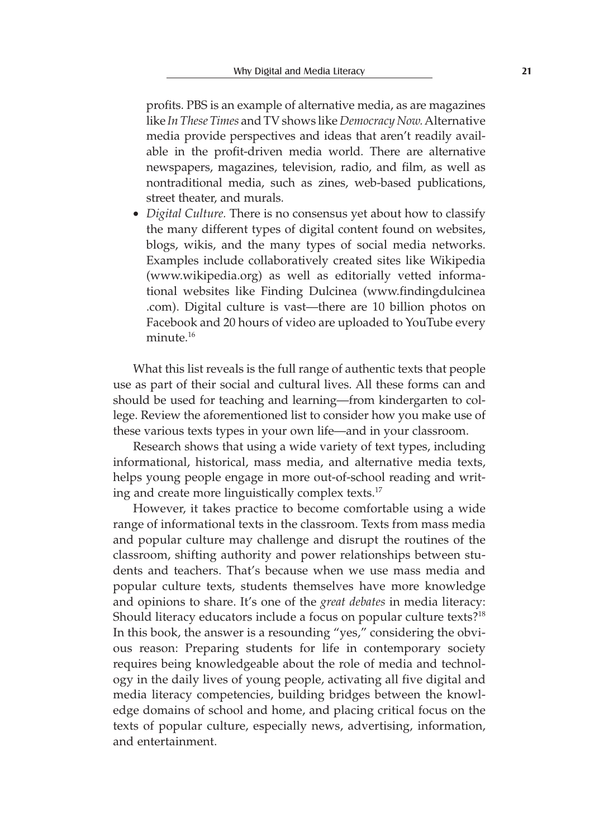profits. PBS is an example of alternative media, as are magazines like *In These Times* and TV shows like *Democracy Now.* Alternative media provide perspectives and ideas that aren't readily available in the profit-driven media world. There are alternative newspapers, magazines, television, radio, and film, as well as nontraditional media, such as zines, web-based publications, street theater, and murals.

• *Digital Culture.* There is no consensus yet about how to classify the many different types of digital content found on websites, blogs, wikis, and the many types of social media networks. Examples include collaboratively created sites like Wikipedia (www.wikipedia.org) as well as editorially vetted informational websites like Finding Dulcinea (www.findingdulcinea .com). Digital culture is vast—there are 10 billion photos on Facebook and 20 hours of video are uploaded to YouTube every minute.<sup>16</sup>

What this list reveals is the full range of authentic texts that people use as part of their social and cultural lives. All these forms can and should be used for teaching and learning—from kindergarten to college. Review the aforementioned list to consider how you make use of these various texts types in your own life—and in your classroom.

Research shows that using a wide variety of text types, including informational, historical, mass media, and alternative media texts, helps young people engage in more out-of-school reading and writing and create more linguistically complex texts.<sup>17</sup>

However, it takes practice to become comfortable using a wide range of informational texts in the classroom. Texts from mass media and popular culture may challenge and disrupt the routines of the classroom, shifting authority and power relationships between students and teachers. That's because when we use mass media and popular culture texts, students themselves have more knowledge and opinions to share. It's one of the *great debates* in media literacy: Should literacy educators include a focus on popular culture texts?<sup>18</sup> In this book, the answer is a resounding "yes," considering the obvious reason: Preparing students for life in contemporary society requires being knowledgeable about the role of media and technology in the daily lives of young people, activating all five digital and media literacy competencies, building bridges between the knowledge domains of school and home, and placing critical focus on the texts of popular culture, especially news, advertising, information, and entertainment.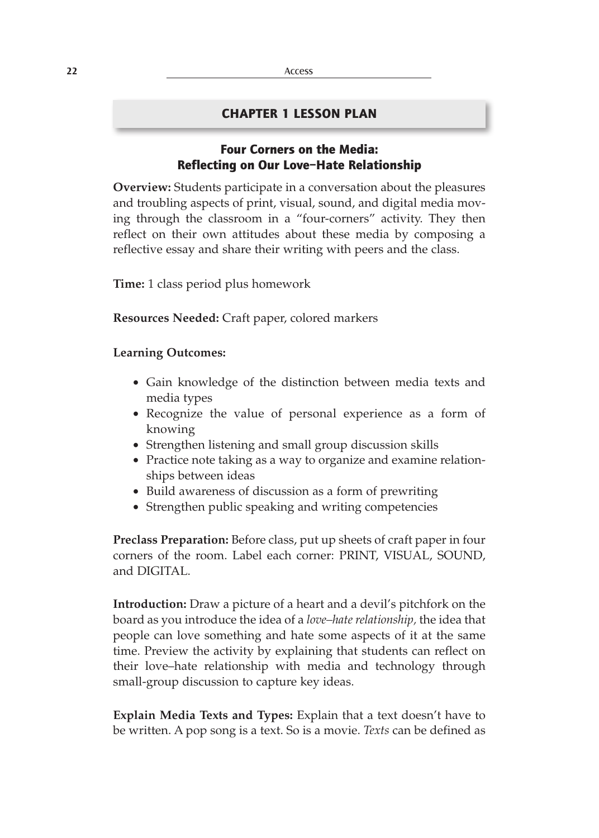#### CHAPTER 1 LESSON PLAN

# Four Corners on the Media: Reflecting on Our Love–Hate Relationship

**Overview:** Students participate in a conversation about the pleasures and troubling aspects of print, visual, sound, and digital media moving through the classroom in a "four-corners" activity. They then reflect on their own attitudes about these media by composing a reflective essay and share their writing with peers and the class.

**Time:** 1 class period plus homework

**Resources Needed:** Craft paper, colored markers

#### **Learning Outcomes:**

- Gain knowledge of the distinction between media texts and media types
- Recognize the value of personal experience as a form of knowing
- Strengthen listening and small group discussion skills
- Practice note taking as a way to organize and examine relationships between ideas
- Build awareness of discussion as a form of prewriting
- Strengthen public speaking and writing competencies

**Preclass Preparation:** Before class, put up sheets of craft paper in four corners of the room. Label each corner: PRINT, VISUAL, SOUND, and DIGITAL.

**Introduction:** Draw a picture of a heart and a devil's pitchfork on the board as you introduce the idea of a *love–hate relationship,* the idea that people can love something and hate some aspects of it at the same time. Preview the activity by explaining that students can reflect on their love–hate relationship with media and technology through small-group discussion to capture key ideas.

**Explain Media Texts and Types:** Explain that a text doesn't have to be written. A pop song is a text. So is a movie. *Texts* can be defined as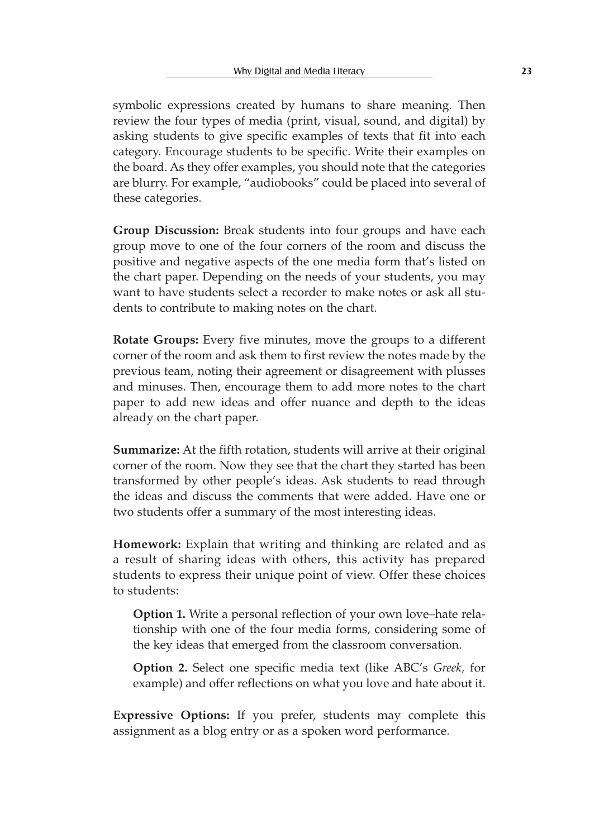symbolic expressions created by humans to share meaning. Then review the four types of media (print, visual, sound, and digital) by asking students to give specific examples of texts that fit into each category. Encourage students to be specific. Write their examples on the board. As they offer examples, you should note that the categories are blurry. For example, "audiobooks" could be placed into several of these categories.

**Group Discussion:** Break students into four groups and have each group move to one of the four corners of the room and discuss the positive and negative aspects of the one media form that's listed on the chart paper. Depending on the needs of your students, you may want to have students select a recorder to make notes or ask all students to contribute to making notes on the chart.

**Rotate Groups:** Every five minutes, move the groups to a different corner of the room and ask them to first review the notes made by the previous team, noting their agreement or disagreement with plusses and minuses. Then, encourage them to add more notes to the chart paper to add new ideas and offer nuance and depth to the ideas already on the chart paper.

**Summarize:** At the fifth rotation, students will arrive at their original corner of the room. Now they see that the chart they started has been transformed by other people's ideas. Ask students to read through the ideas and discuss the comments that were added. Have one or two students offer a summary of the most interesting ideas.

**Homework:** Explain that writing and thinking are related and as a result of sharing ideas with others, this activity has prepared students to express their unique point of view. Offer these choices to students:

**Option 1.** Write a personal reflection of your own love–hate relationship with one of the four media forms, considering some of the key ideas that emerged from the classroom conversation.

**Option 2.** Select one specific media text (like ABC's *Greek,* for example) and offer reflections on what you love and hate about it.

**Expressive Options:** If you prefer, students may complete this assignment as a blog entry or as a spoken word performance.